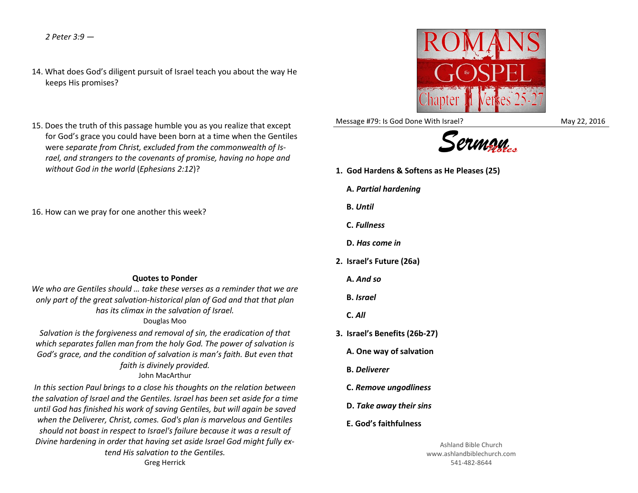*2 Peter 3:9 —*

- 14. What does God's diligent pursuit of Israel teach you about the way He keeps His promises?
- 15. Does the truth of this passage humble you as you realize that except for God's grace you could have been born at a time when the Gentiles were *separate from Christ, excluded from the commonwealth of Israel, and strangers to the covenants of promise, having no hope and without God in the world* (*Ephesians 2:12*)?

16. How can we pray for one another this week?

## **Quotes to Ponder**

*We who are Gentiles should … take these verses as a reminder that we are only part of the great salvation-historical plan of God and that that plan has its climax in the salvation of Israel.*

## Douglas Moo

*Salvation is the forgiveness and removal of sin, the eradication of that which separates fallen man from the holy God. The power of salvation is God's grace, and the condition of salvation is man's faith. But even that faith is divinely provided.* John MacArthur

*In this section Paul brings to a close his thoughts on the relation between the salvation of Israel and the Gentiles. Israel has been set aside for a time until God has finished his work of saving Gentiles, but will again be saved when the Deliverer, Christ, comes. God's plan is marvelous and Gentiles should not boast in respect to Israel's failure because it was a result of Divine hardening in order that having set aside Israel God might fully extend His salvation to the Gentiles.*



Message #79: Is God Done With Israel? May 22, 2016



- **1. God Hardens & Softens as He Pleases (25)**
	- **A.** *Partial hardening*
	- **B.** *Until*
	- **C.** *Fullness*
	- **D.** *Has come in*
- **2. Israel's Future (26a)**
	- **A.** *And so*
	- **B.** *Israel*
	- **C.** *All*
- **3. Israel's Benefits (26b-27)**
	- **A. One way of salvation**
	- **B.** *Deliverer*
	- **C.** *Remove ungodliness*
	- **D.** *Take away their sins*
	- **E. God's faithfulness**

Ashland Bible Church www.ashlandbiblechurch.com 541-482-8644